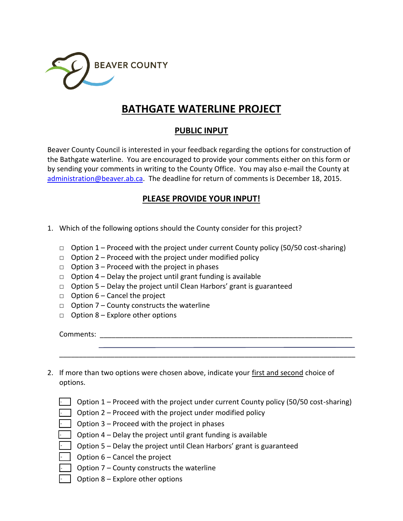

## **BATHGATE WATERLINE PROJECT**

## **PUBLIC INPUT**

Beaver County Council is interested in your feedback regarding the options for construction of the Bathgate waterline. You are encouraged to provide your comments either on this form or by sending your comments in writing to the County Office. You may also e-mail the County at [administration@beaver.ab.ca.](mailto:administration@beaver.ab.ca) The deadline for return of comments is December 18, 2015.

## **PLEASE PROVIDE YOUR INPUT!**

- 1. Which of the following options should the County consider for this project?
	- $\Box$  Option 1 Proceed with the project under current County policy (50/50 cost-sharing)
	- $\Box$  Option 2 Proceed with the project under modified policy
	- $\Box$  Option 3 Proceed with the project in phases
	- $\Box$  Option 4 Delay the project until grant funding is available
	- $\Box$  Option 5 Delay the project until Clean Harbors' grant is guaranteed
	- $\Box$  Option 6 Cancel the project
	- $\Box$  Option 7 County constructs the waterline
	- $\Box$  Option 8 Explore other options

Comments: \_\_\_\_\_\_\_\_\_\_\_\_\_\_\_\_\_\_\_\_\_\_\_\_\_\_\_\_\_\_\_\_\_\_\_\_\_\_\_\_\_\_\_\_\_\_\_\_\_\_\_\_\_\_\_\_\_\_\_\_\_\_\_\_

- - - - - - -

2. If more than two options were chosen above, indicate your first and second choice of options.

|  | $\Box$ Option 1 – Proceed with the project under current County policy (50/50 cost-sharing) |  |  |  |
|--|---------------------------------------------------------------------------------------------|--|--|--|
|--|---------------------------------------------------------------------------------------------|--|--|--|

\_\_\_\_\_\_\_\_\_\_\_\_\_\_\_\_\_\_\_\_\_\_\_\_\_\_\_\_\_\_\_\_\_\_\_\_\_\_\_\_\_\_\_\_\_\_\_\_\_\_\_\_\_\_\_\_\_\_\_\_\_\_\_\_\_\_\_\_\_\_\_\_\_\_\_

- \_\_\_ Option 2 Proceed with the project under modified policy
- Option 3 Proceed with the project in phases
- Option  $4$  Delay the project until grant funding is available
- \_\_\_ Option 5 Delay the project until Clean Harbors' grant is guaranteed
- Option 6 Cancel the project
- Option  $7$  County constructs the waterline
- Option  $8$  Explore other options